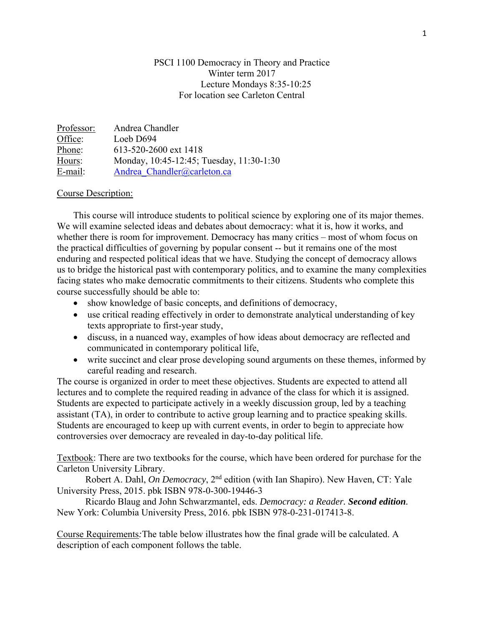# PSCI 1100 Democracy in Theory and Practice Winter term 2017 Lecture Mondays 8:35-10:25 For location see Carleton Central

| Professor: | Andrea Chandler                          |
|------------|------------------------------------------|
| Office:    | Loeb D694                                |
| Phone:     | 613-520-2600 ext 1418                    |
| Hours:     | Monday, 10:45-12:45; Tuesday, 11:30-1:30 |
| E-mail:    | Andrea Chandler@carleton.ca              |

### Course Description:

This course will introduce students to political science by exploring one of its major themes. We will examine selected ideas and debates about democracy: what it is, how it works, and whether there is room for improvement. Democracy has many critics – most of whom focus on the practical difficulties of governing by popular consent -- but it remains one of the most enduring and respected political ideas that we have. Studying the concept of democracy allows us to bridge the historical past with contemporary politics, and to examine the many complexities facing states who make democratic commitments to their citizens. Students who complete this course successfully should be able to:

- show knowledge of basic concepts, and definitions of democracy,
- use critical reading effectively in order to demonstrate analytical understanding of key texts appropriate to first-year study,
- discuss, in a nuanced way, examples of how ideas about democracy are reflected and communicated in contemporary political life,
- write succinct and clear prose developing sound arguments on these themes, informed by careful reading and research.

The course is organized in order to meet these objectives. Students are expected to attend all lectures and to complete the required reading in advance of the class for which it is assigned. Students are expected to participate actively in a weekly discussion group, led by a teaching assistant (TA), in order to contribute to active group learning and to practice speaking skills. Students are encouraged to keep up with current events, in order to begin to appreciate how controversies over democracy are revealed in day-to-day political life.

Textbook: There are two textbooks for the course, which have been ordered for purchase for the Carleton University Library.

Robert A. Dahl, *On Democracy*, 2nd edition (with Ian Shapiro). New Haven, CT: Yale University Press, 2015. pbk ISBN 978-0-300-19446-3

Ricardo Blaug and John Schwarzmantel, eds. *Democracy: a Reader. Second edition.*  New York: Columbia University Press, 2016. pbk ISBN 978-0-231-017413-8.

Course Requirements*:*The table below illustrates how the final grade will be calculated. A description of each component follows the table.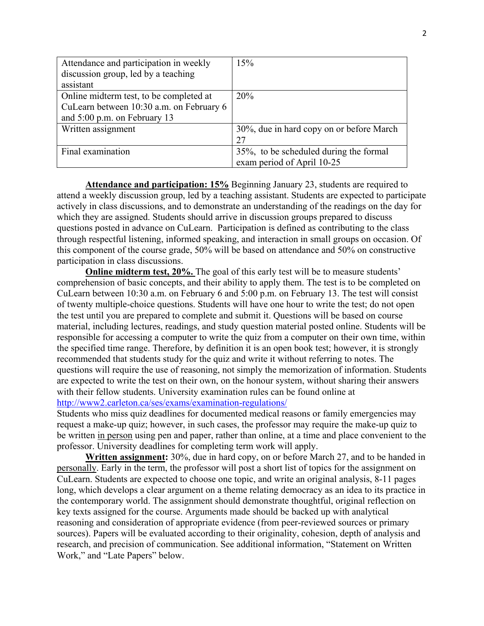| Attendance and participation in weekly   | 15%                                      |
|------------------------------------------|------------------------------------------|
| discussion group, led by a teaching      |                                          |
| assistant                                |                                          |
| Online midterm test, to be completed at  | 20%                                      |
| CuLearn between 10:30 a.m. on February 6 |                                          |
| and 5:00 p.m. on February 13             |                                          |
| Written assignment                       | 30%, due in hard copy on or before March |
|                                          | 27                                       |
| Final examination                        | 35%, to be scheduled during the formal   |
|                                          | exam period of April 10-25               |

**Attendance and participation: 15%** Beginning January 23, students are required to attend a weekly discussion group, led by a teaching assistant. Students are expected to participate actively in class discussions, and to demonstrate an understanding of the readings on the day for which they are assigned. Students should arrive in discussion groups prepared to discuss questions posted in advance on CuLearn. Participation is defined as contributing to the class through respectful listening, informed speaking, and interaction in small groups on occasion. Of this component of the course grade, 50% will be based on attendance and 50% on constructive participation in class discussions.

**Online midterm test, 20%.** The goal of this early test will be to measure students' comprehension of basic concepts, and their ability to apply them. The test is to be completed on CuLearn between 10:30 a.m. on February 6 and 5:00 p.m. on February 13. The test will consist of twenty multiple-choice questions. Students will have one hour to write the test; do not open the test until you are prepared to complete and submit it. Questions will be based on course material, including lectures, readings, and study question material posted online. Students will be responsible for accessing a computer to write the quiz from a computer on their own time, within the specified time range. Therefore, by definition it is an open book test; however, it is strongly recommended that students study for the quiz and write it without referring to notes. The questions will require the use of reasoning, not simply the memorization of information. Students are expected to write the test on their own, on the honour system, without sharing their answers with their fellow students. University examination rules can be found online at http://www2.carleton.ca/ses/exams/examination-regulations/

Students who miss quiz deadlines for documented medical reasons or family emergencies may request a make-up quiz; however, in such cases, the professor may require the make-up quiz to be written in person using pen and paper, rather than online, at a time and place convenient to the professor. University deadlines for completing term work will apply.

**Written assignment:** 30%, due in hard copy, on or before March 27, and to be handed in personally. Early in the term, the professor will post a short list of topics for the assignment on CuLearn. Students are expected to choose one topic, and write an original analysis, 8-11 pages long, which develops a clear argument on a theme relating democracy as an idea to its practice in the contemporary world. The assignment should demonstrate thoughtful, original reflection on key texts assigned for the course. Arguments made should be backed up with analytical reasoning and consideration of appropriate evidence (from peer-reviewed sources or primary sources). Papers will be evaluated according to their originality, cohesion, depth of analysis and research, and precision of communication. See additional information, "Statement on Written Work," and "Late Papers" below.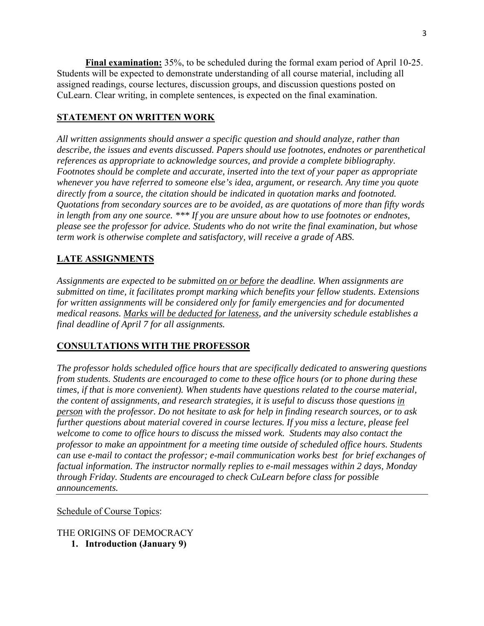**Final examination:** 35%, to be scheduled during the formal exam period of April 10-25. Students will be expected to demonstrate understanding of all course material, including all assigned readings, course lectures, discussion groups, and discussion questions posted on CuLearn. Clear writing, in complete sentences, is expected on the final examination.

## **STATEMENT ON WRITTEN WORK**

*All written assignments should answer a specific question and should analyze, rather than describe, the issues and events discussed. Papers should use footnotes, endnotes or parenthetical references as appropriate to acknowledge sources, and provide a complete bibliography. Footnotes should be complete and accurate, inserted into the text of your paper as appropriate whenever you have referred to someone else's idea, argument, or research. Any time you quote directly from a source, the citation should be indicated in quotation marks and footnoted. Quotations from secondary sources are to be avoided, as are quotations of more than fifty words in length from any one source. \*\*\* If you are unsure about how to use footnotes or endnotes, please see the professor for advice. Students who do not write the final examination, but whose term work is otherwise complete and satisfactory, will receive a grade of ABS.* 

#### **LATE ASSIGNMENTS**

*Assignments are expected to be submitted on or before the deadline. When assignments are submitted on time, it facilitates prompt marking which benefits your fellow students. Extensions for written assignments will be considered only for family emergencies and for documented medical reasons. Marks will be deducted for lateness, and the university schedule establishes a final deadline of April 7 for all assignments.* 

#### **CONSULTATIONS WITH THE PROFESSOR**

*The professor holds scheduled office hours that are specifically dedicated to answering questions from students. Students are encouraged to come to these office hours (or to phone during these times, if that is more convenient). When students have questions related to the course material, the content of assignments, and research strategies, it is useful to discuss those questions in person with the professor. Do not hesitate to ask for help in finding research sources, or to ask further questions about material covered in course lectures. If you miss a lecture, please feel welcome to come to office hours to discuss the missed work. Students may also contact the professor to make an appointment for a meeting time outside of scheduled office hours. Students can use e-mail to contact the professor; e-mail communication works best for brief exchanges of factual information. The instructor normally replies to e-mail messages within 2 days, Monday through Friday. Students are encouraged to check CuLearn before class for possible announcements.* 

#### Schedule of Course Topics:

### THE ORIGINS OF DEMOCRACY **1. Introduction (January 9)**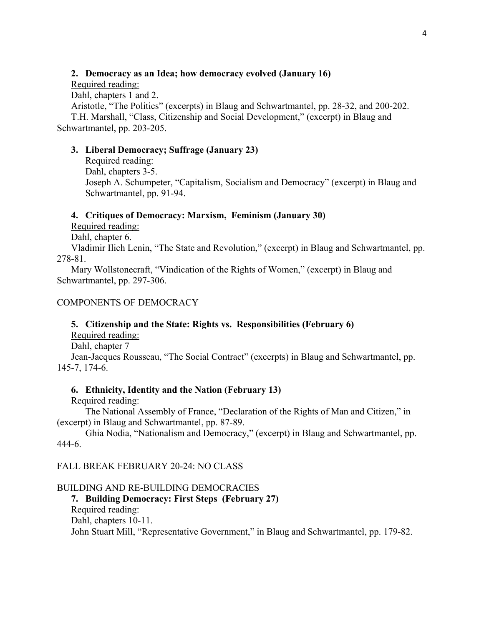## **2. Democracy as an Idea; how democracy evolved (January 16)**

Required reading:

Dahl, chapters 1 and 2.

Aristotle, "The Politics" (excerpts) in Blaug and Schwartmantel, pp. 28-32, and 200-202.

T.H. Marshall, "Class, Citizenship and Social Development," (excerpt) in Blaug and Schwartmantel, pp. 203-205.

# **3. Liberal Democracy; Suffrage (January 23)**

Required reading:

Dahl, chapters 3-5.

Joseph A. Schumpeter, "Capitalism, Socialism and Democracy" (excerpt) in Blaug and Schwartmantel, pp. 91-94.

### **4. Critiques of Democracy: Marxism, Feminism (January 30)**

- Required reading:
- Dahl, chapter 6.

Vladimir Ilich Lenin, "The State and Revolution," (excerpt) in Blaug and Schwartmantel, pp. 278-81.

Mary Wollstonecraft, "Vindication of the Rights of Women," (excerpt) in Blaug and Schwartmantel, pp. 297-306.

## COMPONENTS OF DEMOCRACY

### **5. Citizenship and the State: Rights vs. Responsibilities (February 6)**

Required reading:

Dahl, chapter 7

Jean-Jacques Rousseau, "The Social Contract" (excerpts) in Blaug and Schwartmantel, pp. 145-7, 174-6.

## **6. Ethnicity, Identity and the Nation (February 13)**

## Required reading:

The National Assembly of France, "Declaration of the Rights of Man and Citizen," in (excerpt) in Blaug and Schwartmantel, pp. 87-89.

Ghia Nodia, "Nationalism and Democracy," (excerpt) in Blaug and Schwartmantel, pp. 444-6.

FALL BREAK FEBRUARY 20-24: NO CLASS

## BUILDING AND RE-BUILDING DEMOCRACIES

**7. Building Democracy: First Steps (February 27)**  Required reading: Dahl, chapters 10-11. John Stuart Mill, "Representative Government," in Blaug and Schwartmantel, pp. 179-82.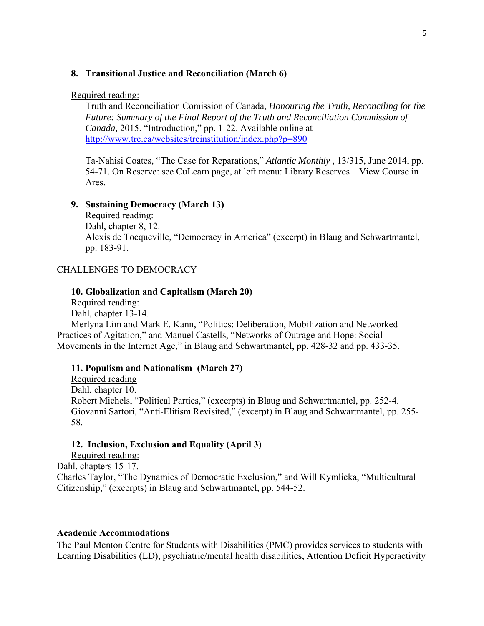## **8. Transitional Justice and Reconciliation (March 6)**

#### Required reading:

Truth and Reconciliation Comission of Canada, *Honouring the Truth, Reconciling for the Future: Summary of the Final Report of the Truth and Reconciliation Commission of Canada,* 2015. "Introduction," pp. 1-22. Available online at http://www.trc.ca/websites/trcinstitution/index.php?p=890

Ta-Nahisi Coates, "The Case for Reparations," *Atlantic Monthly* , 13/315, June 2014, pp. 54-71. On Reserve: see CuLearn page, at left menu: Library Reserves – View Course in Ares.

### **9. Sustaining Democracy (March 13)**

#### Required reading:

Dahl, chapter 8, 12. Alexis de Tocqueville, "Democracy in America" (excerpt) in Blaug and Schwartmantel, pp. 183-91.

## CHALLENGES TO DEMOCRACY

# **10. Globalization and Capitalism (March 20)**

Required reading:

Dahl, chapter 13-14.

Merlyna Lim and Mark E. Kann, "Politics: Deliberation, Mobilization and Networked Practices of Agitation," and Manuel Castells, "Networks of Outrage and Hope: Social Movements in the Internet Age," in Blaug and Schwartmantel, pp. 428-32 and pp. 433-35.

#### **11. Populism and Nationalism (March 27)**

Required reading Dahl, chapter 10. Robert Michels, "Political Parties," (excerpts) in Blaug and Schwartmantel, pp. 252-4. Giovanni Sartori, "Anti-Elitism Revisited," (excerpt) in Blaug and Schwartmantel, pp. 255- 58.

### **12. Inclusion, Exclusion and Equality (April 3)**

Required reading: Dahl, chapters 15-17. Charles Taylor, "The Dynamics of Democratic Exclusion," and Will Kymlicka, "Multicultural Citizenship," (excerpts) in Blaug and Schwartmantel, pp. 544-52.

### **Academic Accommodations**

The Paul Menton Centre for Students with Disabilities (PMC) provides services to students with Learning Disabilities (LD), psychiatric/mental health disabilities, Attention Deficit Hyperactivity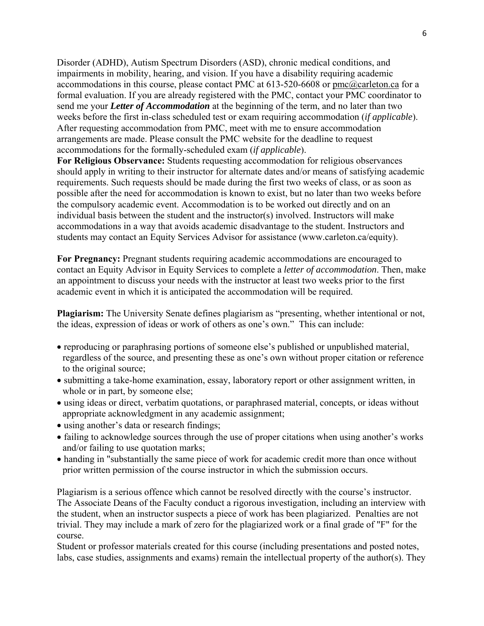Disorder (ADHD), Autism Spectrum Disorders (ASD), chronic medical conditions, and impairments in mobility, hearing, and vision. If you have a disability requiring academic accommodations in this course, please contact PMC at 613-520-6608 or pmc@carleton.ca for a formal evaluation. If you are already registered with the PMC, contact your PMC coordinator to send me your *Letter of Accommodation* at the beginning of the term, and no later than two weeks before the first in-class scheduled test or exam requiring accommodation (*if applicable*). After requesting accommodation from PMC, meet with me to ensure accommodation arrangements are made. Please consult the PMC website for the deadline to request accommodations for the formally-scheduled exam (*if applicable*).

**For Religious Observance:** Students requesting accommodation for religious observances should apply in writing to their instructor for alternate dates and/or means of satisfying academic requirements. Such requests should be made during the first two weeks of class, or as soon as possible after the need for accommodation is known to exist, but no later than two weeks before the compulsory academic event. Accommodation is to be worked out directly and on an individual basis between the student and the instructor(s) involved. Instructors will make accommodations in a way that avoids academic disadvantage to the student. Instructors and students may contact an Equity Services Advisor for assistance (www.carleton.ca/equity).

**For Pregnancy:** Pregnant students requiring academic accommodations are encouraged to contact an Equity Advisor in Equity Services to complete a *letter of accommodation*. Then, make an appointment to discuss your needs with the instructor at least two weeks prior to the first academic event in which it is anticipated the accommodation will be required.

**Plagiarism:** The University Senate defines plagiarism as "presenting, whether intentional or not, the ideas, expression of ideas or work of others as one's own." This can include:

- reproducing or paraphrasing portions of someone else's published or unpublished material, regardless of the source, and presenting these as one's own without proper citation or reference to the original source;
- submitting a take-home examination, essay, laboratory report or other assignment written, in whole or in part, by someone else;
- using ideas or direct, verbatim quotations, or paraphrased material, concepts, or ideas without appropriate acknowledgment in any academic assignment;
- using another's data or research findings;
- failing to acknowledge sources through the use of proper citations when using another's works and/or failing to use quotation marks;
- handing in "substantially the same piece of work for academic credit more than once without prior written permission of the course instructor in which the submission occurs.

Plagiarism is a serious offence which cannot be resolved directly with the course's instructor. The Associate Deans of the Faculty conduct a rigorous investigation, including an interview with the student, when an instructor suspects a piece of work has been plagiarized. Penalties are not trivial. They may include a mark of zero for the plagiarized work or a final grade of "F" for the course.

Student or professor materials created for this course (including presentations and posted notes, labs, case studies, assignments and exams) remain the intellectual property of the author(s). They